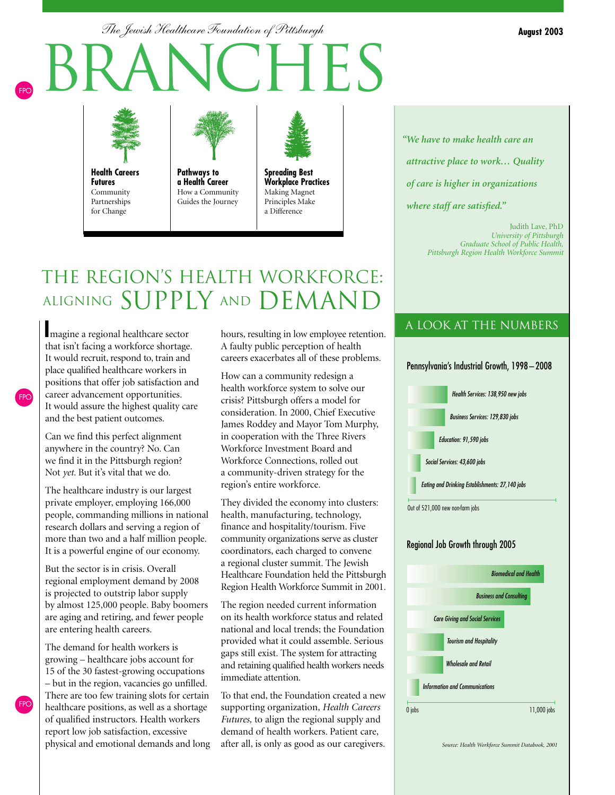*The Jewish Healthcare Foundation of Pittsburgh*

# branches FPO



**Health Careers Futures** Community Partnerships for Change



**Pathways to a Health Career** How a Community Guides the Journey



# THE REGION'S HEALTH WORKFORCE: ALIGNING SUPPLY AND DEMAND

**I**magine a regional healthcare sector that isn't facing a workforce shortage. It would recruit, respond to, train and place qualified healthcare workers in positions that offer job satisfaction and career advancement opportunities. It would assure the highest quality care and the best patient outcomes.

Can we find this perfect alignment anywhere in the country? No. Can we find it in the Pittsburgh region? Not *yet*. But it's vital that we do.

FPO

FPO

The healthcare industry is our largest private employer, employing 166,000 people, commanding millions in national research dollars and serving a region of more than two and a half million people. It is a powerful engine of our economy.

But the sector is in crisis. Overall regional employment demand by 2008 is projected to outstrip labor supply by almost 125,000 people. Baby boomers are aging and retiring, and fewer people are entering health careers.

The demand for health workers is growing – healthcare jobs account for 15 of the 30 fastest-growing occupations – but in the region, vacancies go unfilled. There are too few training slots for certain healthcare positions, as well as a shortage of qualified instructors. Health workers report low job satisfaction, excessive physical and emotional demands and long hours, resulting in low employee retention. A faulty public perception of health careers exacerbates all of these problems.

How can a community redesign a health workforce system to solve our crisis? Pittsburgh offers a model for consideration. In 2000, Chief Executive James Roddey and Mayor Tom Murphy, in cooperation with the Three Rivers Workforce Investment Board and Workforce Connections, rolled out a community-driven strategy for the region's entire workforce.

They divided the economy into clusters: health, manufacturing, technology, finance and hospitality/tourism. Five community organizations serve as cluster coordinators, each charged to convene a regional cluster summit. The Jewish Healthcare Foundation held the Pittsburgh Region Health Workforce Summit in 2001.

The region needed current information on its health workforce status and related national and local trends; the Foundation provided what it could assemble. Serious gaps still exist. The system for attracting and retaining qualified health workers needs immediate attention.

To that end, the Foundation created a new supporting organization, *Health Careers Futures,* to align the regional supply and demand of health workers. Patient care, after all, is only as good as our caregivers.

*"We have to make health care an attractive place to work… Quality* 

*of care is higher in organizations* 

*where staff are satisfied."*

Judith Lave, PhD *University of Pittsburgh Graduate School of Public Health, Pittsburgh Region Health Workforce Summit*

### a look at the numbers



#### Regional Job Growth through 2005



*Source: Health Workforce Summit Databook, 2001*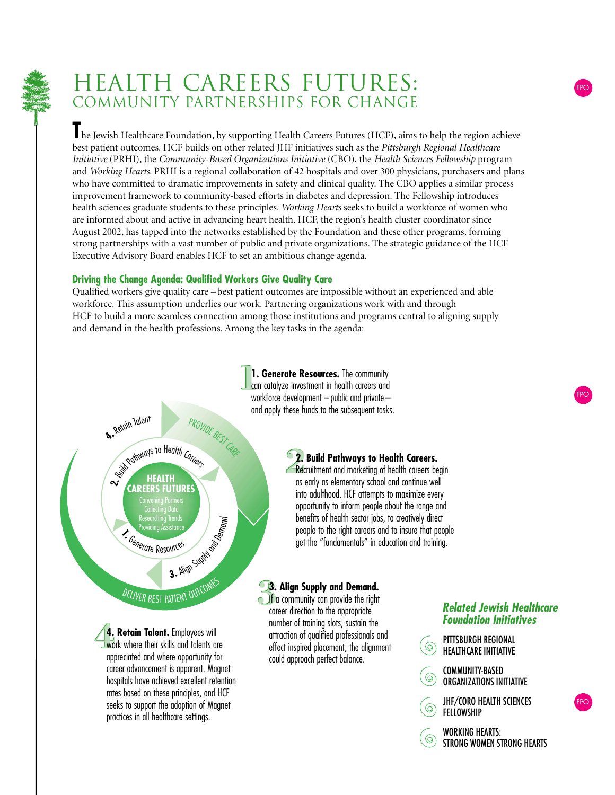

## HEALTH CAREERS FUTURES: COMMUNITY PARTNERSHIPS FOR CHANGE

The Jewish Healthcare Foundation, by supporting Health Careers Futures (HCF), aims to help the region achieve best patient outcomes. HCF builds on other related JHF initiatives such as the *Pittsburgh Regional Healthcare Initiative* (PRHI), the *Community-Based Organizations Initiative* (CBO), the *Health Sciences Fellowship* program and *Working Hearts*. PRHI is a regional collaboration of 42 hospitals and over 300 physicians, purchasers and plans who have committed to dramatic improvements in safety and clinical quality. The CBO applies a similar process improvement framework to community-based efforts in diabetes and depression. The Fellowship introduces health sciences graduate students to these principles. *Working Hearts* seeks to build a workforce of women who are informed about and active in advancing heart health. HCF, the region's health cluster coordinator since August 2002, has tapped into the networks established by the Foundation and these other programs, forming strong partnerships with a vast number of public and private organizations. The strategic guidance of the HCF Executive Advisory Board enables HCF to set an ambitious change agenda.

### **Driving the Change Agenda: Qualified Workers Give Quality Care**

hospitals have achieved excellent retention rates based on these principles, and HCF seeks to support the adoption of Magnet practices in all healthcare settings.

Qualified workers give quality care – best patient outcomes are impossible without an experienced and able workforce. This assumption underlies our work. Partnering organizations work with and through HCF to build a more seamless connection among those institutions and programs central to aligning supply and demand in the health professions. Among the key tasks in the agenda:



COMMUNITY-BASED  $\circledcirc$ ORGANIZATIONS INITIATIVE

JHF/CORO HEALTH SCIENCES  $\circledcirc$ FELLOWSHIP

WORKING HEARTS:  $\odot$ STRONG WOMEN STRONG HEARTS FPO

FPO

FPO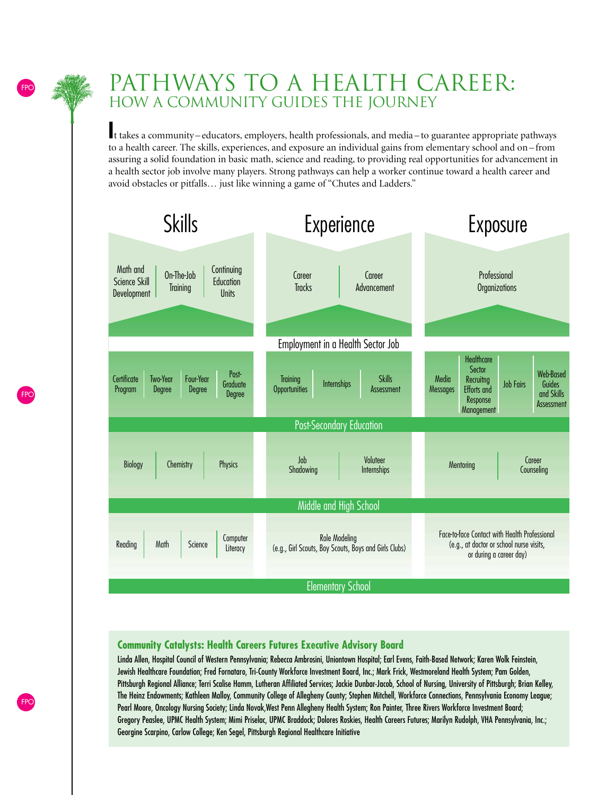### PATHWAYS TO A HEALTH CAREER: HOW A COMMUNITY GUIDES THE JOURNEY

**I**t takes a community – educators, employers, health professionals, and media – to guarantee appropriate pathways to a health career. The skills, experiences, and exposure an individual gains from elementary school and on – from assuring a solid foundation in basic math, science and reading, to providing real opportunities for advancement in a health sector job involve many players. Strong pathways can help a worker continue toward a health career and avoid obstacles or pitfalls… just like winning a game of "Chutes and Ladders."



### **Community Catalysts: Health Careers Futures Executive Advisory Board**

Linda Allen, Hospital Council of Western Pennsylvania; Rebecca Ambrosini, Uniontown Hospital; Earl Evens, Faith-Based Network; Karen Wolk Feinstein, Jewish Healthcare Foundation; Fred Fornataro, Tri-County Workforce Investment Board, Inc.; Mark Frick, Westmoreland Health System; Pam Golden, Pittsburgh Regional Alliance; Terri Scalise Hamm, Lutheran Affiliated Services; Jackie Dunbar-Jacob, School of Nursing, University of Pittsburgh; Brian Kelley, The Heinz Endowments; Kathleen Malloy, Community College of Allegheny County; Stephen Mitchell, Workforce Connections, Pennsylvania Economy League; Pearl Moore, Oncology Nursing Society; Linda Novak,West Penn Allegheny Health System; Ron Painter, Three Rivers Workforce Investment Board; Gregory Peaslee, UPMC Health System; Mimi Priselac, UPMC Braddock; Dolores Roskies, Health Careers Futures; Marilyn Rudolph, VHA Pennsylvania, Inc.; Georgine Scarpino, Carlow College; Ken Segel, Pittsburgh Regional Healthcare Initiative

FPO

FPO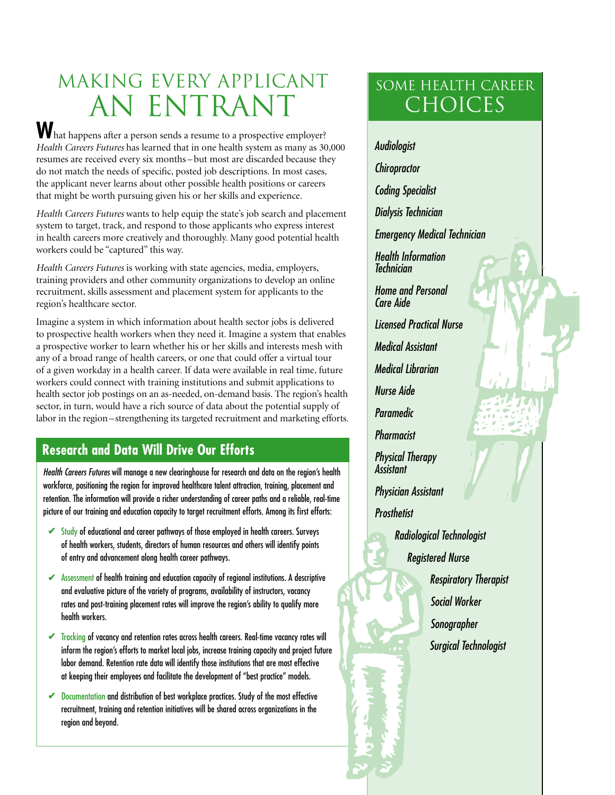# MAKING EVERY APPLICANT AN ENTRANT

**W** hat happens after a person sends a resume to a prospective employer? *Health Careers Futures* has learned that in one health system as many as 30,000 resumes are received every six months – but most are discarded because they do not match the needs of specific, posted job descriptions. In most cases, the applicant never learns about other possible health positions or careers that might be worth pursuing given his or her skills and experience.

*Health Careers Futures* wants to help equip the state's job search and placement system to target, track, and respond to those applicants who express interest in health careers more creatively and thoroughly. Many good potential health workers could be "captured" this way.

*Health Careers Futures* is working with state agencies, media, employers, training providers and other community organizations to develop an online recruitment, skills assessment and placement system for applicants to the region's healthcare sector.

Imagine a system in which information about health sector jobs is delivered to prospective health workers when they need it. Imagine a system that enables a prospective worker to learn whether his or her skills and interests mesh with any of a broad range of health careers, or one that could offer a virtual tour of a given workday in a health career. If data were available in real time, future workers could connect with training institutions and submit applications to health sector job postings on an as-needed, on-demand basis. The region's health sector, in turn, would have a rich source of data about the potential supply of labor in the region – strengthening its targeted recruitment and marketing efforts.

### **Research and Data Will Drive Our Efforts**

*Health Careers Futures* will manage a new clearinghouse for research and data on the region's health workforce, positioning the region for improved healthcare talent attraction, training, placement and retention. The information will provide a richer understanding of career paths and a reliable, real-time picture of our training and education capacity to target recruitment efforts. Among its first efforts:

- ► Study of educational and career pathways of those employed in health careers. Surveys of health workers, students, directors of human resources and others will identify points of entry and advancement along health career pathways.
- ✔ Assessment of health training and education capacity of regional institutions. A descriptive and evaluative picture of the variety of programs, availability of instructors, vacancy rates and post-training placement rates will improve the region's ability to qualify more health workers.
- Tracking of vacancy and retention rates across health careers. Real-time vacancy rates will ✔ inform the region's efforts to market local jobs, increase training capacity and project future labor demand. Retention rate data will identify those institutions that are most effective at keeping their employees and facilitate the development of "best practice" models.
- ✔ Documentation and distribution of best workplace practices. Study of the most effective recruitment, training and retention initiatives will be shared across organizations in the region and beyond.

## some Health Career **CHOICES**

*Audiologist Chiropractor Coding Specialist Dialysis Technician Emergency Medical Technician Health Information Technician Home and Personal Care Aide Licensed Practical Nurse Medical Assistant Medical Librarian Nurse Aide Paramedic Pharmacist Physical Therapy Assistant Physician Assistant Prosthetist*

- *Radiological Technologist Registered Nurse Respiratory Therapist*
	- *Social Worker Sonographer Surgical Technologist*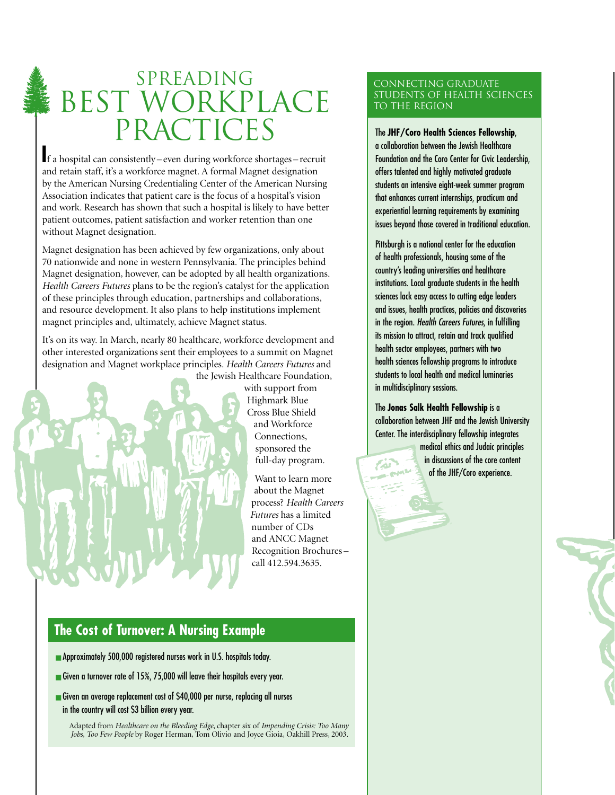# SPREADING BEST WORKPLACE PRACTICES

**I**f a hospital can consistently – even during workforce shortages – recruit and retain staff, it's a workforce magnet. A formal Magnet designation by the American Nursing Credentialing Center of the American Nursing Association indicates that patient care is the focus of a hospital's vision and work. Research has shown that such a hospital is likely to have better patient outcomes, patient satisfaction and worker retention than one without Magnet designation.

Magnet designation has been achieved by few organizations, only about 70 nationwide and none in western Pennsylvania. The principles behind Magnet designation, however, can be adopted by all health organizations. *Health Careers Futures* plans to be the region's catalyst for the application of these principles through education, partnerships and collaborations, and resource development. It also plans to help institutions implement magnet principles and, ultimately, achieve Magnet status.

It's on its way. In March, nearly 80 healthcare, workforce development and other interested organizations sent their employees to a summit on Magnet designation and Magnet workplace principles. *Health Careers Futures* and the Jewish Healthcare Foundation,

with support from Highmark Blue Cross Blue Shield and Workforce Connections, sponsored the full-day program.

Want to learn more about the Magnet process? *Health Careers Futures* has a limited number of CDs and ANCC Magnet Recognition Brochures – call 412.594.3635.

#### Connecting Graduate Students of Health Sciences to the Region

The **JHF/Coro Health Sciences Fellowship**, a collaboration between the Jewish Healthcare Foundation and the Coro Center for Civic Leadership, offers talented and highly motivated graduate students an intensive eight-week summer program that enhances current internships, practicum and experiential learning requirements by examining issues beyond those covered in traditional education.

Pittsburgh is a national center for the education of health professionals, housing some of the country's leading universities and healthcare institutions. Local graduate students in the health sciences lack easy access to cutting edge leaders and issues, health practices, policies and discoveries in the region. *Health Careers Futures*, in fulfilling its mission to attract, retain and track qualified health sector employees, partners with two health sciences fellowship programs to introduce students to local health and medical luminaries in multidisciplinary sessions.

The **Jonas Salk Health Fellowship** is a collaboration between JHF and the Jewish University Center. The interdisciplinary fellowship integrates

ZN.

medical ethics and Judaic principles in discussions of the core content of the JHF/Coro experience.

### **The Cost of Turnover: A Nursing Example**

- Approximately 500,000 registered nurses work in U.S. hospitals today.
- Given a turnover rate of 15%, 75,000 will leave their hospitals every year.
- Given an average replacement cost of \$40,000 per nurse, replacing all nurses in the country will cost \$3 billion every year.

Adapted from *Healthcare on the Bleeding Edge*, chapter six of *Impending Crisis: Too Many Jobs, Too Few People* by Roger Herman, Tom Olivio and Joyce Gioia, Oakhill Press, 2003.